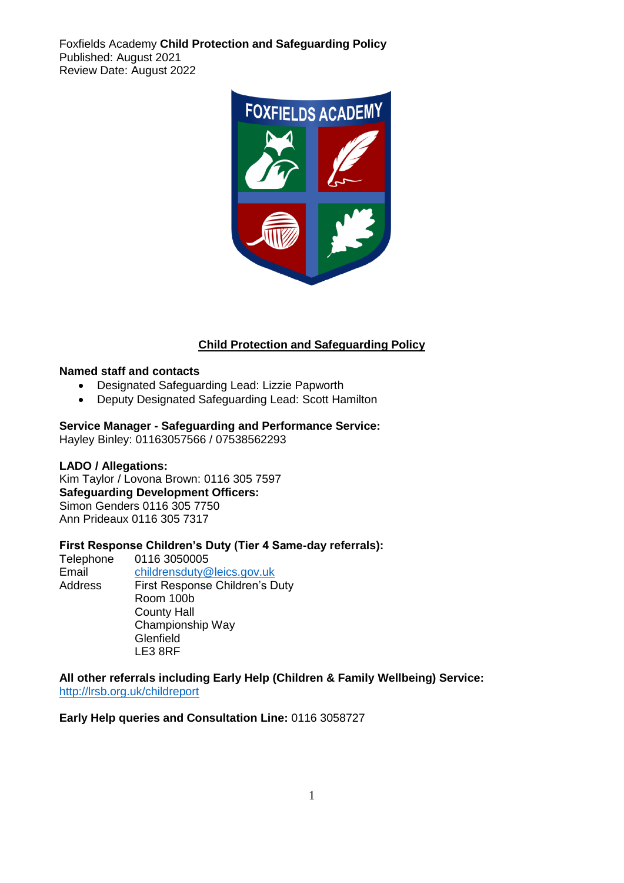Foxfields Academy **Child Protection and Safeguarding Policy**  Published: August 2021 Review Date: August 2022



## **Child Protection and Safeguarding Policy**

#### **Named staff and contacts**

- Designated Safeguarding Lead: Lizzie Papworth
- Deputy Designated Safeguarding Lead: Scott Hamilton

#### **Service Manager - Safeguarding and Performance Service:**

Hayley Binley: 01163057566 / 07538562293

#### **LADO / Allegations:**

Kim Taylor / Lovona Brown: 0116 305 7597 **Safeguarding Development Officers:**  Simon Genders 0116 305 7750 Ann Prideaux 0116 305 7317

## **First Response Children's Duty (Tier 4 Same-day referrals):**

Telephone 0116 3050005 Email [childrensduty@leics.gov.uk](mailto:childrensduty@leics.gov.uk) Address First Response Children's Duty Room 100b County Hall Championship Way **Glenfield** LE3 8RF

#### **All other referrals including Early Help (Children & Family Wellbeing) Service:** <http://lrsb.org.uk/childreport>

#### **Early Help queries and Consultation Line:** 0116 3058727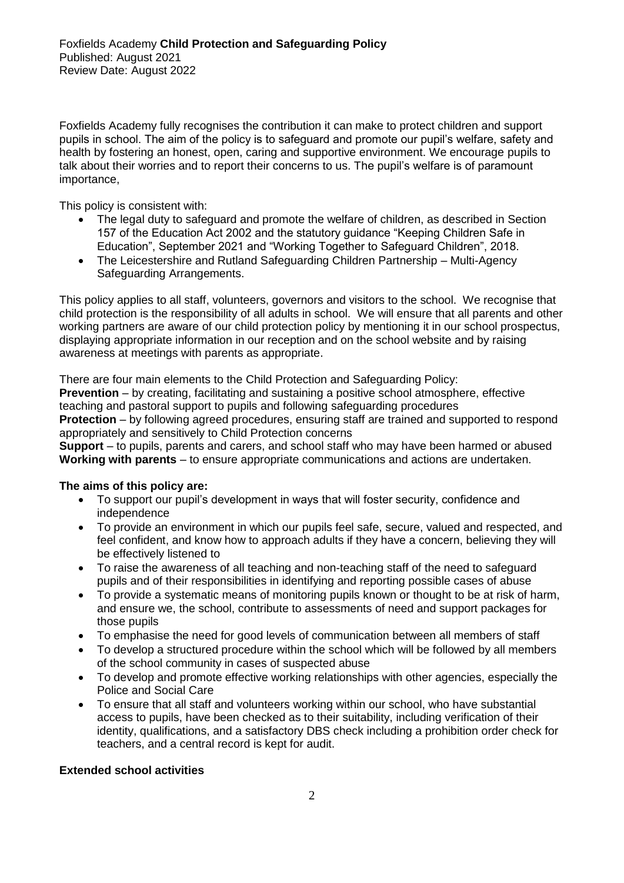Foxfields Academy fully recognises the contribution it can make to protect children and support pupils in school. The aim of the policy is to safeguard and promote our pupil's welfare, safety and health by fostering an honest, open, caring and supportive environment. We encourage pupils to talk about their worries and to report their concerns to us. The pupil's welfare is of paramount importance,

This policy is consistent with:

- The legal duty to safeguard and promote the welfare of children, as described in Section 157 of the Education Act 2002 and the statutory guidance "Keeping Children Safe in Education", September 2021 and "Working Together to Safeguard Children", 2018.
- The Leicestershire and Rutland Safeguarding Children Partnership Multi-Agency Safeguarding Arrangements.

This policy applies to all staff, volunteers, governors and visitors to the school. We recognise that child protection is the responsibility of all adults in school. We will ensure that all parents and other working partners are aware of our child protection policy by mentioning it in our school prospectus, displaying appropriate information in our reception and on the school website and by raising awareness at meetings with parents as appropriate.

There are four main elements to the Child Protection and Safeguarding Policy:

**Prevention** – by creating, facilitating and sustaining a positive school atmosphere, effective teaching and pastoral support to pupils and following safeguarding procedures **Protection** – by following agreed procedures, ensuring staff are trained and supported to respond appropriately and sensitively to Child Protection concerns

**Support** – to pupils, parents and carers, and school staff who may have been harmed or abused **Working with parents** – to ensure appropriate communications and actions are undertaken.

#### **The aims of this policy are:**

- To support our pupil's development in ways that will foster security, confidence and independence
- To provide an environment in which our pupils feel safe, secure, valued and respected, and feel confident, and know how to approach adults if they have a concern, believing they will be effectively listened to
- To raise the awareness of all teaching and non-teaching staff of the need to safeguard pupils and of their responsibilities in identifying and reporting possible cases of abuse
- To provide a systematic means of monitoring pupils known or thought to be at risk of harm, and ensure we, the school, contribute to assessments of need and support packages for those pupils
- To emphasise the need for good levels of communication between all members of staff
- To develop a structured procedure within the school which will be followed by all members of the school community in cases of suspected abuse
- To develop and promote effective working relationships with other agencies, especially the Police and Social Care
- To ensure that all staff and volunteers working within our school, who have substantial access to pupils, have been checked as to their suitability, including verification of their identity, qualifications, and a satisfactory DBS check including a prohibition order check for teachers, and a central record is kept for audit.

#### **Extended school activities**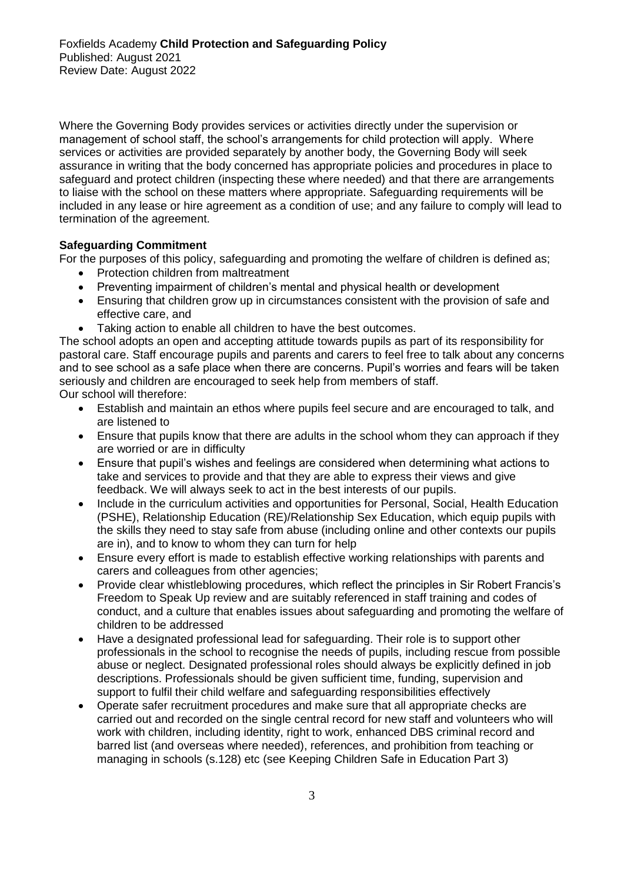Where the Governing Body provides services or activities directly under the supervision or management of school staff, the school's arrangements for child protection will apply. Where services or activities are provided separately by another body, the Governing Body will seek assurance in writing that the body concerned has appropriate policies and procedures in place to safeguard and protect children (inspecting these where needed) and that there are arrangements to liaise with the school on these matters where appropriate. Safeguarding requirements will be included in any lease or hire agreement as a condition of use; and any failure to comply will lead to termination of the agreement.

## **Safeguarding Commitment**

For the purposes of this policy, safeguarding and promoting the welfare of children is defined as;

- Protection children from maltreatment
- Preventing impairment of children's mental and physical health or development
- Ensuring that children grow up in circumstances consistent with the provision of safe and effective care, and
- Taking action to enable all children to have the best outcomes.

The school adopts an open and accepting attitude towards pupils as part of its responsibility for pastoral care. Staff encourage pupils and parents and carers to feel free to talk about any concerns and to see school as a safe place when there are concerns. Pupil's worries and fears will be taken seriously and children are encouraged to seek help from members of staff.

Our school will therefore:

- Establish and maintain an ethos where pupils feel secure and are encouraged to talk, and are listened to
- Ensure that pupils know that there are adults in the school whom they can approach if they are worried or are in difficulty
- Ensure that pupil's wishes and feelings are considered when determining what actions to take and services to provide and that they are able to express their views and give feedback. We will always seek to act in the best interests of our pupils.
- Include in the curriculum activities and opportunities for Personal, Social, Health Education (PSHE), Relationship Education (RE)/Relationship Sex Education, which equip pupils with the skills they need to stay safe from abuse (including online and other contexts our pupils are in), and to know to whom they can turn for help
- Ensure every effort is made to establish effective working relationships with parents and carers and colleagues from other agencies;
- Provide clear whistleblowing procedures, which reflect the principles in Sir Robert Francis's Freedom to Speak Up review and are suitably referenced in staff training and codes of conduct, and a culture that enables issues about safeguarding and promoting the welfare of children to be addressed
- Have a designated professional lead for safeguarding. Their role is to support other professionals in the school to recognise the needs of pupils, including rescue from possible abuse or neglect. Designated professional roles should always be explicitly defined in job descriptions. Professionals should be given sufficient time, funding, supervision and support to fulfil their child welfare and safeguarding responsibilities effectively
- Operate safer recruitment procedures and make sure that all appropriate checks are carried out and recorded on the single central record for new staff and volunteers who will work with children, including identity, right to work, enhanced DBS criminal record and barred list (and overseas where needed), references, and prohibition from teaching or managing in schools (s.128) etc (see Keeping Children Safe in Education Part 3)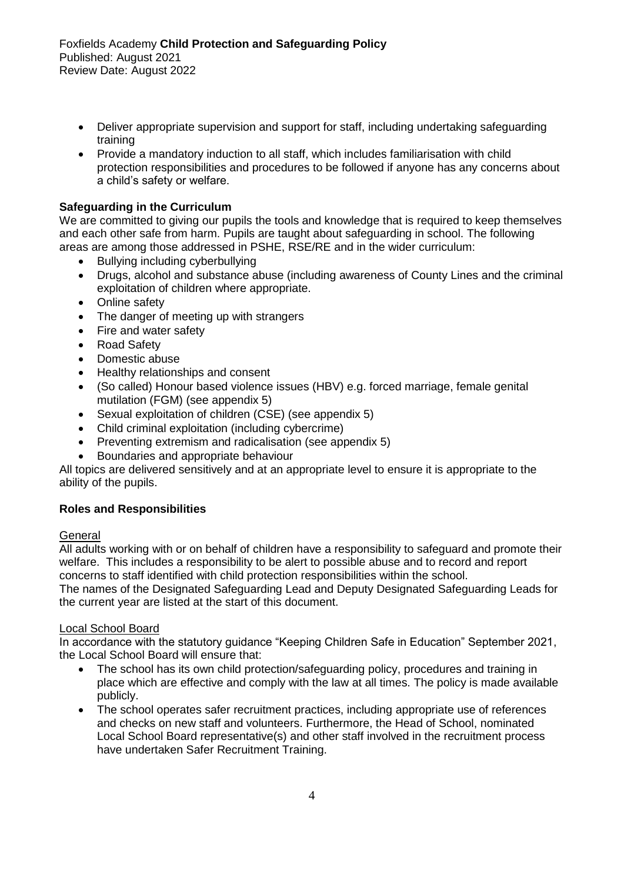- Deliver appropriate supervision and support for staff, including undertaking safeguarding training
- Provide a mandatory induction to all staff, which includes familiarisation with child protection responsibilities and procedures to be followed if anyone has any concerns about a child's safety or welfare.

## **Safeguarding in the Curriculum**

We are committed to giving our pupils the tools and knowledge that is required to keep themselves and each other safe from harm. Pupils are taught about safeguarding in school. The following areas are among those addressed in PSHE, RSE/RE and in the wider curriculum:

- Bullying including cyberbullying
- Drugs, alcohol and substance abuse (including awareness of County Lines and the criminal exploitation of children where appropriate.
- Online safety
- The danger of meeting up with strangers
- Fire and water safety
- Road Safety
- Domestic abuse
- Healthy relationships and consent
- (So called) Honour based violence issues (HBV) e.g. forced marriage, female genital mutilation (FGM) (see appendix 5)
- Sexual exploitation of children (CSE) (see appendix 5)
- Child criminal exploitation (including cybercrime)
- Preventing extremism and radicalisation (see appendix 5)
- Boundaries and appropriate behaviour

All topics are delivered sensitively and at an appropriate level to ensure it is appropriate to the ability of the pupils.

## **Roles and Responsibilities**

## General

All adults working with or on behalf of children have a responsibility to safeguard and promote their welfare. This includes a responsibility to be alert to possible abuse and to record and report concerns to staff identified with child protection responsibilities within the school.

The names of the Designated Safeguarding Lead and Deputy Designated Safeguarding Leads for the current year are listed at the start of this document.

## Local School Board

In accordance with the statutory guidance "Keeping Children Safe in Education" September 2021, the Local School Board will ensure that:

- The school has its own child protection/safeguarding policy, procedures and training in place which are effective and comply with the law at all times. The policy is made available publicly.
- The school operates safer recruitment practices, including appropriate use of references and checks on new staff and volunteers. Furthermore, the Head of School, nominated Local School Board representative(s) and other staff involved in the recruitment process have undertaken Safer Recruitment Training.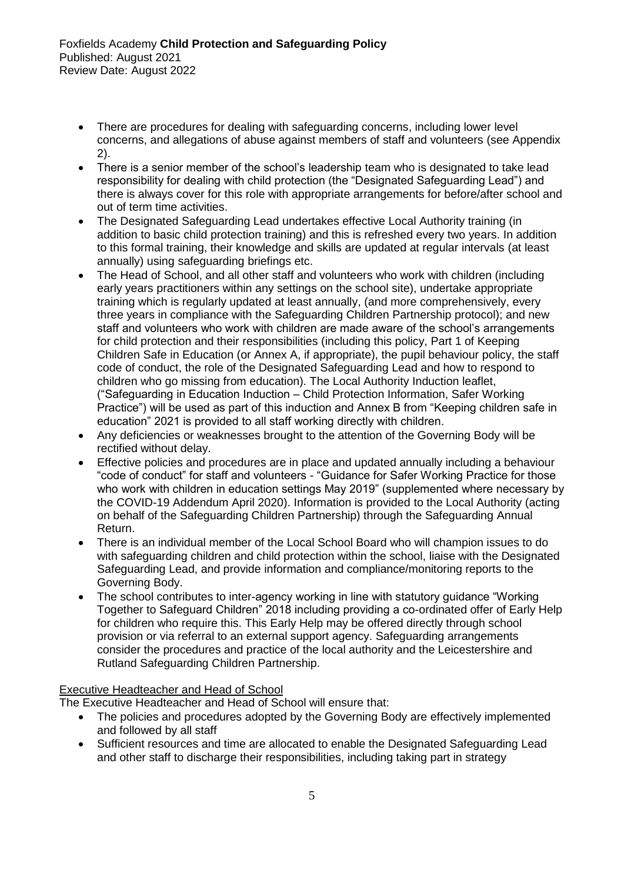- There are procedures for dealing with safeguarding concerns, including lower level concerns, and allegations of abuse against members of staff and volunteers (see Appendix 2).
- There is a senior member of the school's leadership team who is designated to take lead responsibility for dealing with child protection (the "Designated Safeguarding Lead") and there is always cover for this role with appropriate arrangements for before/after school and out of term time activities.
- The Designated Safeguarding Lead undertakes effective Local Authority training (in addition to basic child protection training) and this is refreshed every two years. In addition to this formal training, their knowledge and skills are updated at regular intervals (at least annually) using safeguarding briefings etc.
- The Head of School, and all other staff and volunteers who work with children (including early years practitioners within any settings on the school site), undertake appropriate training which is regularly updated at least annually, (and more comprehensively, every three years in compliance with the Safeguarding Children Partnership protocol); and new staff and volunteers who work with children are made aware of the school's arrangements for child protection and their responsibilities (including this policy, Part 1 of Keeping Children Safe in Education (or Annex A, if appropriate), the pupil behaviour policy, the staff code of conduct, the role of the Designated Safeguarding Lead and how to respond to children who go missing from education). The Local Authority Induction leaflet, ("Safeguarding in Education Induction – Child Protection Information, Safer Working Practice") will be used as part of this induction and Annex B from "Keeping children safe in education" 2021 is provided to all staff working directly with children.
- Any deficiencies or weaknesses brought to the attention of the Governing Body will be rectified without delay.
- Effective policies and procedures are in place and updated annually including a behaviour "code of conduct" for staff and volunteers - "Guidance for Safer Working Practice for those who work with children in education settings May 2019" (supplemented where necessary by the COVID-19 Addendum April 2020). Information is provided to the Local Authority (acting on behalf of the Safeguarding Children Partnership) through the Safeguarding Annual Return.
- There is an individual member of the Local School Board who will champion issues to do with safeguarding children and child protection within the school, liaise with the Designated Safeguarding Lead, and provide information and compliance/monitoring reports to the Governing Body.
- The school contributes to inter-agency working in line with statutory guidance "Working Together to Safeguard Children" 2018 including providing a co-ordinated offer of Early Help for children who require this. This Early Help may be offered directly through school provision or via referral to an external support agency. Safeguarding arrangements consider the procedures and practice of the local authority and the Leicestershire and Rutland Safeguarding Children Partnership.

## Executive Headteacher and Head of School

The Executive Headteacher and Head of School will ensure that:

- The policies and procedures adopted by the Governing Body are effectively implemented and followed by all staff
- Sufficient resources and time are allocated to enable the Designated Safeguarding Lead and other staff to discharge their responsibilities, including taking part in strategy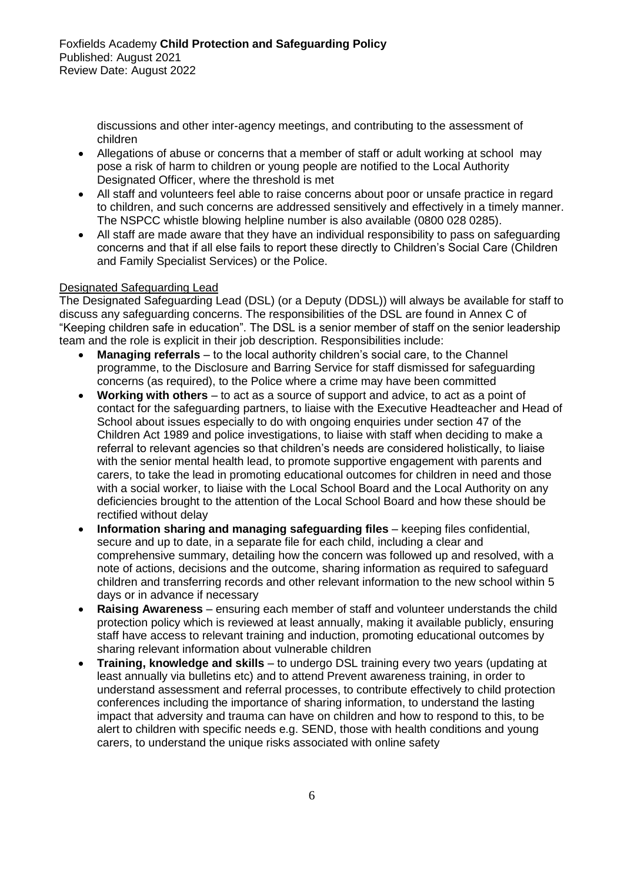discussions and other inter-agency meetings, and contributing to the assessment of children

- Allegations of abuse or concerns that a member of staff or adult working at school may pose a risk of harm to children or young people are notified to the Local Authority Designated Officer, where the threshold is met
- All staff and volunteers feel able to raise concerns about poor or unsafe practice in regard to children, and such concerns are addressed sensitively and effectively in a timely manner. The NSPCC whistle blowing helpline number is also available (0800 028 0285).
- All staff are made aware that they have an individual responsibility to pass on safeguarding concerns and that if all else fails to report these directly to Children's Social Care (Children and Family Specialist Services) or the Police.

## Designated Safeguarding Lead

The Designated Safeguarding Lead (DSL) (or a Deputy (DDSL)) will always be available for staff to discuss any safeguarding concerns. The responsibilities of the DSL are found in Annex C of "Keeping children safe in education". The DSL is a senior member of staff on the senior leadership team and the role is explicit in their job description. Responsibilities include:

- **Managing referrals** to the local authority children's social care, to the Channel programme, to the Disclosure and Barring Service for staff dismissed for safeguarding concerns (as required), to the Police where a crime may have been committed
- **Working with others** to act as a source of support and advice, to act as a point of contact for the safeguarding partners, to liaise with the Executive Headteacher and Head of School about issues especially to do with ongoing enquiries under section 47 of the Children Act 1989 and police investigations, to liaise with staff when deciding to make a referral to relevant agencies so that children's needs are considered holistically, to liaise with the senior mental health lead, to promote supportive engagement with parents and carers, to take the lead in promoting educational outcomes for children in need and those with a social worker, to liaise with the Local School Board and the Local Authority on any deficiencies brought to the attention of the Local School Board and how these should be rectified without delay
- **Information sharing and managing safeguarding files** keeping files confidential, secure and up to date, in a separate file for each child, including a clear and comprehensive summary, detailing how the concern was followed up and resolved, with a note of actions, decisions and the outcome, sharing information as required to safeguard children and transferring records and other relevant information to the new school within 5 days or in advance if necessary
- **Raising Awareness** ensuring each member of staff and volunteer understands the child protection policy which is reviewed at least annually, making it available publicly, ensuring staff have access to relevant training and induction, promoting educational outcomes by sharing relevant information about vulnerable children
- **Training, knowledge and skills**  to undergo DSL training every two years (updating at least annually via bulletins etc) and to attend Prevent awareness training, in order to understand assessment and referral processes, to contribute effectively to child protection conferences including the importance of sharing information, to understand the lasting impact that adversity and trauma can have on children and how to respond to this, to be alert to children with specific needs e.g. SEND, those with health conditions and young carers, to understand the unique risks associated with online safety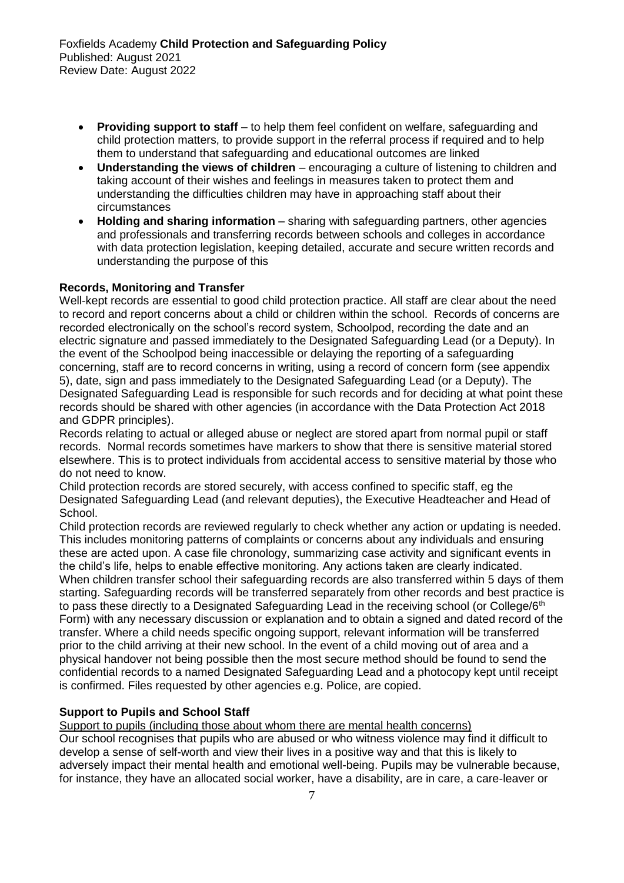- **Providing support to staff**  to help them feel confident on welfare, safeguarding and child protection matters, to provide support in the referral process if required and to help them to understand that safeguarding and educational outcomes are linked
- **Understanding the views of children**  encouraging a culture of listening to children and taking account of their wishes and feelings in measures taken to protect them and understanding the difficulties children may have in approaching staff about their circumstances
- **Holding and sharing information** sharing with safeguarding partners, other agencies and professionals and transferring records between schools and colleges in accordance with data protection legislation, keeping detailed, accurate and secure written records and understanding the purpose of this

## **Records, Monitoring and Transfer**

Well-kept records are essential to good child protection practice. All staff are clear about the need to record and report concerns about a child or children within the school. Records of concerns are recorded electronically on the school's record system, Schoolpod, recording the date and an electric signature and passed immediately to the Designated Safeguarding Lead (or a Deputy). In the event of the Schoolpod being inaccessible or delaying the reporting of a safeguarding concerning, staff are to record concerns in writing, using a record of concern form (see appendix 5), date, sign and pass immediately to the Designated Safeguarding Lead (or a Deputy). The Designated Safeguarding Lead is responsible for such records and for deciding at what point these records should be shared with other agencies (in accordance with the Data Protection Act 2018 and GDPR principles).

Records relating to actual or alleged abuse or neglect are stored apart from normal pupil or staff records. Normal records sometimes have markers to show that there is sensitive material stored elsewhere. This is to protect individuals from accidental access to sensitive material by those who do not need to know.

Child protection records are stored securely, with access confined to specific staff, eg the Designated Safeguarding Lead (and relevant deputies), the Executive Headteacher and Head of School.

Child protection records are reviewed regularly to check whether any action or updating is needed. This includes monitoring patterns of complaints or concerns about any individuals and ensuring these are acted upon. A case file chronology, summarizing case activity and significant events in the child's life, helps to enable effective monitoring. Any actions taken are clearly indicated. When children transfer school their safeguarding records are also transferred within 5 days of them starting. Safeguarding records will be transferred separately from other records and best practice is to pass these directly to a Designated Safeguarding Lead in the receiving school (or College/6<sup>th</sup>) Form) with any necessary discussion or explanation and to obtain a signed and dated record of the transfer. Where a child needs specific ongoing support, relevant information will be transferred prior to the child arriving at their new school. In the event of a child moving out of area and a physical handover not being possible then the most secure method should be found to send the confidential records to a named Designated Safeguarding Lead and a photocopy kept until receipt is confirmed. Files requested by other agencies e.g. Police, are copied.

## **Support to Pupils and School Staff**

Support to pupils (including those about whom there are mental health concerns)

Our school recognises that pupils who are abused or who witness violence may find it difficult to develop a sense of self-worth and view their lives in a positive way and that this is likely to adversely impact their mental health and emotional well-being. Pupils may be vulnerable because, for instance, they have an allocated social worker, have a disability, are in care, a care-leaver or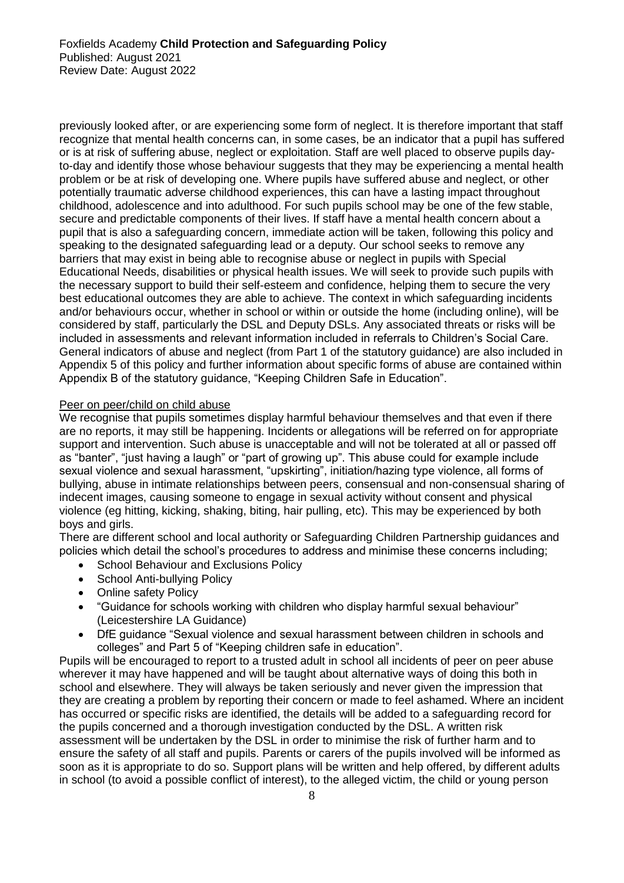previously looked after, or are experiencing some form of neglect. It is therefore important that staff recognize that mental health concerns can, in some cases, be an indicator that a pupil has suffered or is at risk of suffering abuse, neglect or exploitation. Staff are well placed to observe pupils dayto-day and identify those whose behaviour suggests that they may be experiencing a mental health problem or be at risk of developing one. Where pupils have suffered abuse and neglect, or other potentially traumatic adverse childhood experiences, this can have a lasting impact throughout childhood, adolescence and into adulthood. For such pupils school may be one of the few stable, secure and predictable components of their lives. If staff have a mental health concern about a pupil that is also a safeguarding concern, immediate action will be taken, following this policy and speaking to the designated safeguarding lead or a deputy. Our school seeks to remove any barriers that may exist in being able to recognise abuse or neglect in pupils with Special Educational Needs, disabilities or physical health issues. We will seek to provide such pupils with the necessary support to build their self-esteem and confidence, helping them to secure the very best educational outcomes they are able to achieve. The context in which safeguarding incidents and/or behaviours occur, whether in school or within or outside the home (including online), will be considered by staff, particularly the DSL and Deputy DSLs. Any associated threats or risks will be included in assessments and relevant information included in referrals to Children's Social Care. General indicators of abuse and neglect (from Part 1 of the statutory guidance) are also included in Appendix 5 of this policy and further information about specific forms of abuse are contained within Appendix B of the statutory guidance, "Keeping Children Safe in Education".

#### Peer on peer/child on child abuse

We recognise that pupils sometimes display harmful behaviour themselves and that even if there are no reports, it may still be happening. Incidents or allegations will be referred on for appropriate support and intervention. Such abuse is unacceptable and will not be tolerated at all or passed off as "banter", "just having a laugh" or "part of growing up". This abuse could for example include sexual violence and sexual harassment, "upskirting", initiation/hazing type violence, all forms of bullying, abuse in intimate relationships between peers, consensual and non-consensual sharing of indecent images, causing someone to engage in sexual activity without consent and physical violence (eg hitting, kicking, shaking, biting, hair pulling, etc). This may be experienced by both boys and girls.

There are different school and local authority or Safeguarding Children Partnership guidances and policies which detail the school's procedures to address and minimise these concerns including;

- School Behaviour and Exclusions Policy
- School Anti-bullying Policy
- Online safety Policy
- "Guidance for schools working with children who display harmful sexual behaviour" (Leicestershire LA Guidance)
- DfE guidance "Sexual violence and sexual harassment between children in schools and colleges" and Part 5 of "Keeping children safe in education".

Pupils will be encouraged to report to a trusted adult in school all incidents of peer on peer abuse wherever it may have happened and will be taught about alternative ways of doing this both in school and elsewhere. They will always be taken seriously and never given the impression that they are creating a problem by reporting their concern or made to feel ashamed. Where an incident has occurred or specific risks are identified, the details will be added to a safeguarding record for the pupils concerned and a thorough investigation conducted by the DSL. A written risk assessment will be undertaken by the DSL in order to minimise the risk of further harm and to ensure the safety of all staff and pupils. Parents or carers of the pupils involved will be informed as soon as it is appropriate to do so. Support plans will be written and help offered, by different adults in school (to avoid a possible conflict of interest), to the alleged victim, the child or young person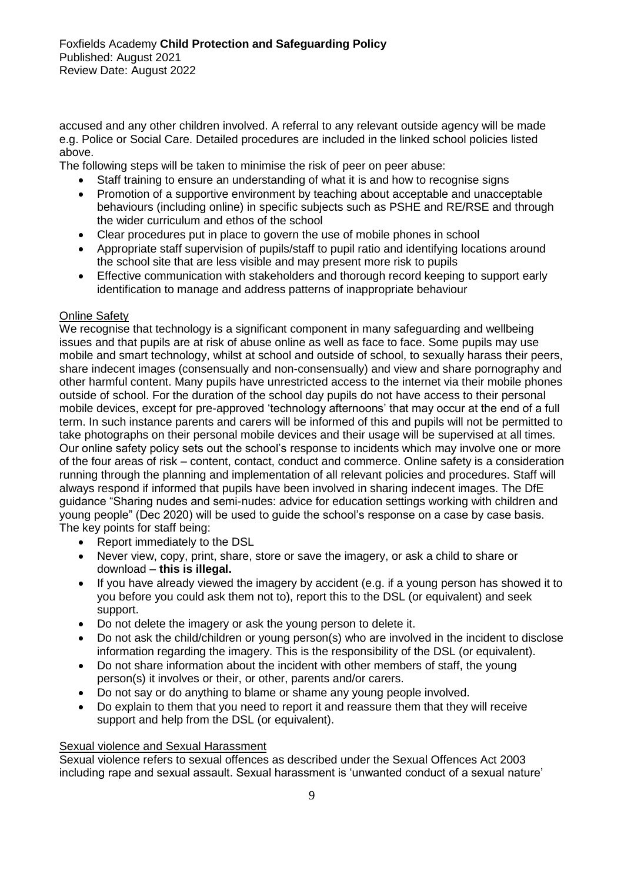accused and any other children involved. A referral to any relevant outside agency will be made e.g. Police or Social Care. Detailed procedures are included in the linked school policies listed above.

The following steps will be taken to minimise the risk of peer on peer abuse:

- Staff training to ensure an understanding of what it is and how to recognise signs
- Promotion of a supportive environment by teaching about acceptable and unacceptable behaviours (including online) in specific subjects such as PSHE and RE/RSE and through the wider curriculum and ethos of the school
- Clear procedures put in place to govern the use of mobile phones in school
- Appropriate staff supervision of pupils/staff to pupil ratio and identifying locations around the school site that are less visible and may present more risk to pupils
- Effective communication with stakeholders and thorough record keeping to support early identification to manage and address patterns of inappropriate behaviour

## Online Safety

We recognise that technology is a significant component in many safeguarding and wellbeing issues and that pupils are at risk of abuse online as well as face to face. Some pupils may use mobile and smart technology, whilst at school and outside of school, to sexually harass their peers, share indecent images (consensually and non-consensually) and view and share pornography and other harmful content. Many pupils have unrestricted access to the internet via their mobile phones outside of school. For the duration of the school day pupils do not have access to their personal mobile devices, except for pre-approved 'technology afternoons' that may occur at the end of a full term. In such instance parents and carers will be informed of this and pupils will not be permitted to take photographs on their personal mobile devices and their usage will be supervised at all times. Our online safety policy sets out the school's response to incidents which may involve one or more of the four areas of risk – content, contact, conduct and commerce. Online safety is a consideration running through the planning and implementation of all relevant policies and procedures. Staff will always respond if informed that pupils have been involved in sharing indecent images. The DfE guidance "Sharing nudes and semi-nudes: advice for education settings working with children and young people" (Dec 2020) will be used to guide the school's response on a case by case basis. The key points for staff being:

- Report immediately to the DSL
- Never view, copy, print, share, store or save the imagery, or ask a child to share or download – **this is illegal.**
- If you have already viewed the imagery by accident (e.g. if a young person has showed it to you before you could ask them not to), report this to the DSL (or equivalent) and seek support.
- Do not delete the imagery or ask the young person to delete it.
- Do not ask the child/children or young person(s) who are involved in the incident to disclose information regarding the imagery. This is the responsibility of the DSL (or equivalent).
- Do not share information about the incident with other members of staff, the young person(s) it involves or their, or other, parents and/or carers.
- Do not say or do anything to blame or shame any young people involved.
- Do explain to them that you need to report it and reassure them that they will receive support and help from the DSL (or equivalent).

## Sexual violence and Sexual Harassment

Sexual violence refers to sexual offences as described under the Sexual Offences Act 2003 including rape and sexual assault. Sexual harassment is 'unwanted conduct of a sexual nature'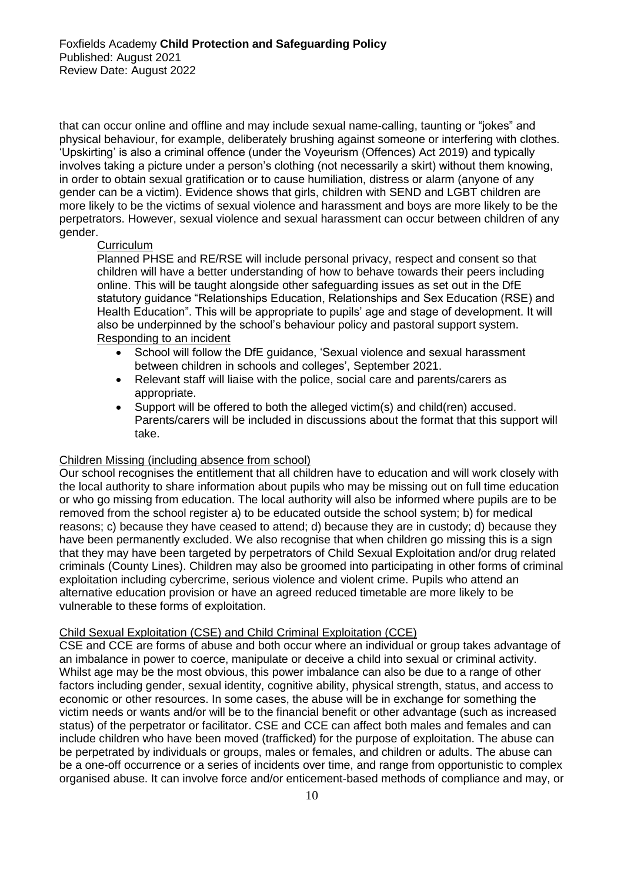that can occur online and offline and may include sexual name-calling, taunting or "jokes" and physical behaviour, for example, deliberately brushing against someone or interfering with clothes. 'Upskirting' is also a criminal offence (under the Voyeurism (Offences) Act 2019) and typically involves taking a picture under a person's clothing (not necessarily a skirt) without them knowing, in order to obtain sexual gratification or to cause humiliation, distress or alarm (anyone of any gender can be a victim). Evidence shows that girls, children with SEND and LGBT children are more likely to be the victims of sexual violence and harassment and boys are more likely to be the perpetrators. However, sexual violence and sexual harassment can occur between children of any gender.

#### **Curriculum**

Planned PHSE and RE/RSE will include personal privacy, respect and consent so that children will have a better understanding of how to behave towards their peers including online. This will be taught alongside other safeguarding issues as set out in the DfE statutory guidance "Relationships Education, Relationships and Sex Education (RSE) and Health Education". This will be appropriate to pupils' age and stage of development. It will also be underpinned by the school's behaviour policy and pastoral support system. Responding to an incident

- School will follow the DfE guidance, 'Sexual violence and sexual harassment between children in schools and colleges', September 2021.
- Relevant staff will liaise with the police, social care and parents/carers as appropriate.
- Support will be offered to both the alleged victim(s) and child(ren) accused. Parents/carers will be included in discussions about the format that this support will take.

## Children Missing (including absence from school)

Our school recognises the entitlement that all children have to education and will work closely with the local authority to share information about pupils who may be missing out on full time education or who go missing from education. The local authority will also be informed where pupils are to be removed from the school register a) to be educated outside the school system; b) for medical reasons; c) because they have ceased to attend; d) because they are in custody; d) because they have been permanently excluded. We also recognise that when children go missing this is a sign that they may have been targeted by perpetrators of Child Sexual Exploitation and/or drug related criminals (County Lines). Children may also be groomed into participating in other forms of criminal exploitation including cybercrime, serious violence and violent crime. Pupils who attend an alternative education provision or have an agreed reduced timetable are more likely to be vulnerable to these forms of exploitation.

#### Child Sexual Exploitation (CSE) and Child Criminal Exploitation (CCE)

CSE and CCE are forms of abuse and both occur where an individual or group takes advantage of an imbalance in power to coerce, manipulate or deceive a child into sexual or criminal activity. Whilst age may be the most obvious, this power imbalance can also be due to a range of other factors including gender, sexual identity, cognitive ability, physical strength, status, and access to economic or other resources. In some cases, the abuse will be in exchange for something the victim needs or wants and/or will be to the financial benefit or other advantage (such as increased status) of the perpetrator or facilitator. CSE and CCE can affect both males and females and can include children who have been moved (trafficked) for the purpose of exploitation. The abuse can be perpetrated by individuals or groups, males or females, and children or adults. The abuse can be a one-off occurrence or a series of incidents over time, and range from opportunistic to complex organised abuse. It can involve force and/or enticement-based methods of compliance and may, or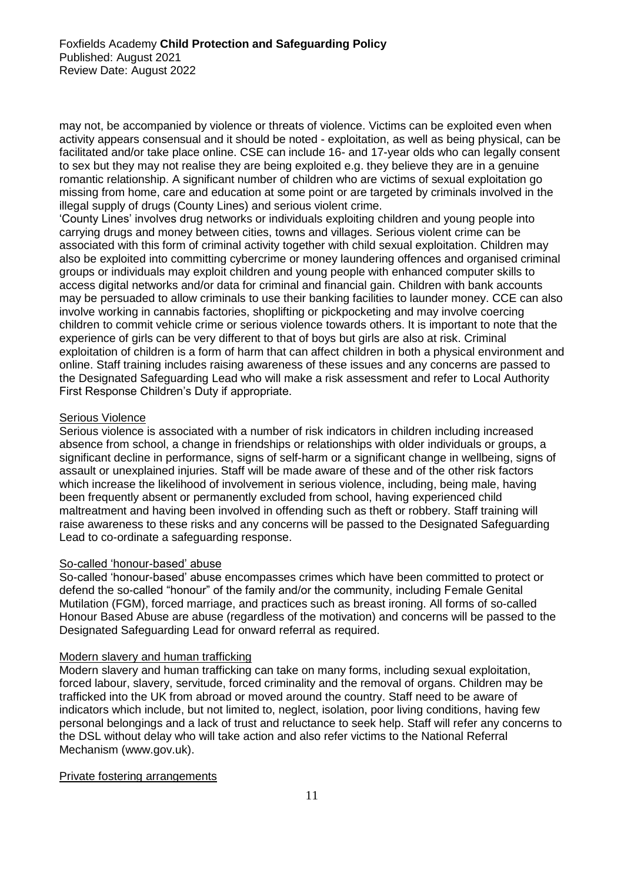may not, be accompanied by violence or threats of violence. Victims can be exploited even when activity appears consensual and it should be noted - exploitation, as well as being physical, can be facilitated and/or take place online. CSE can include 16- and 17-year olds who can legally consent to sex but they may not realise they are being exploited e.g. they believe they are in a genuine romantic relationship. A significant number of children who are victims of sexual exploitation go missing from home, care and education at some point or are targeted by criminals involved in the illegal supply of drugs (County Lines) and serious violent crime.

'County Lines' involves drug networks or individuals exploiting children and young people into carrying drugs and money between cities, towns and villages. Serious violent crime can be associated with this form of criminal activity together with child sexual exploitation. Children may also be exploited into committing cybercrime or money laundering offences and organised criminal groups or individuals may exploit children and young people with enhanced computer skills to access digital networks and/or data for criminal and financial gain. Children with bank accounts may be persuaded to allow criminals to use their banking facilities to launder money. CCE can also involve working in cannabis factories, shoplifting or pickpocketing and may involve coercing children to commit vehicle crime or serious violence towards others. It is important to note that the experience of girls can be very different to that of boys but girls are also at risk. Criminal exploitation of children is a form of harm that can affect children in both a physical environment and online. Staff training includes raising awareness of these issues and any concerns are passed to the Designated Safeguarding Lead who will make a risk assessment and refer to Local Authority First Response Children's Duty if appropriate.

# **Serious Violence**

Serious violence is associated with a number of risk indicators in children including increased absence from school, a change in friendships or relationships with older individuals or groups, a significant decline in performance, signs of self-harm or a significant change in wellbeing, signs of assault or unexplained injuries. Staff will be made aware of these and of the other risk factors which increase the likelihood of involvement in serious violence, including, being male, having been frequently absent or permanently excluded from school, having experienced child maltreatment and having been involved in offending such as theft or robbery. Staff training will raise awareness to these risks and any concerns will be passed to the Designated Safeguarding Lead to co-ordinate a safeguarding response.

## So-called 'honour-based' abuse

So-called 'honour-based' abuse encompasses crimes which have been committed to protect or defend the so-called "honour" of the family and/or the community, including Female Genital Mutilation (FGM), forced marriage, and practices such as breast ironing. All forms of so-called Honour Based Abuse are abuse (regardless of the motivation) and concerns will be passed to the Designated Safeguarding Lead for onward referral as required.

#### Modern slavery and human trafficking

Modern slavery and human trafficking can take on many forms, including sexual exploitation, forced labour, slavery, servitude, forced criminality and the removal of organs. Children may be trafficked into the UK from abroad or moved around the country. Staff need to be aware of indicators which include, but not limited to, neglect, isolation, poor living conditions, having few personal belongings and a lack of trust and reluctance to seek help. Staff will refer any concerns to the DSL without delay who will take action and also refer victims to the National Referral Mechanism (www.gov.uk).

#### Private fostering arrangements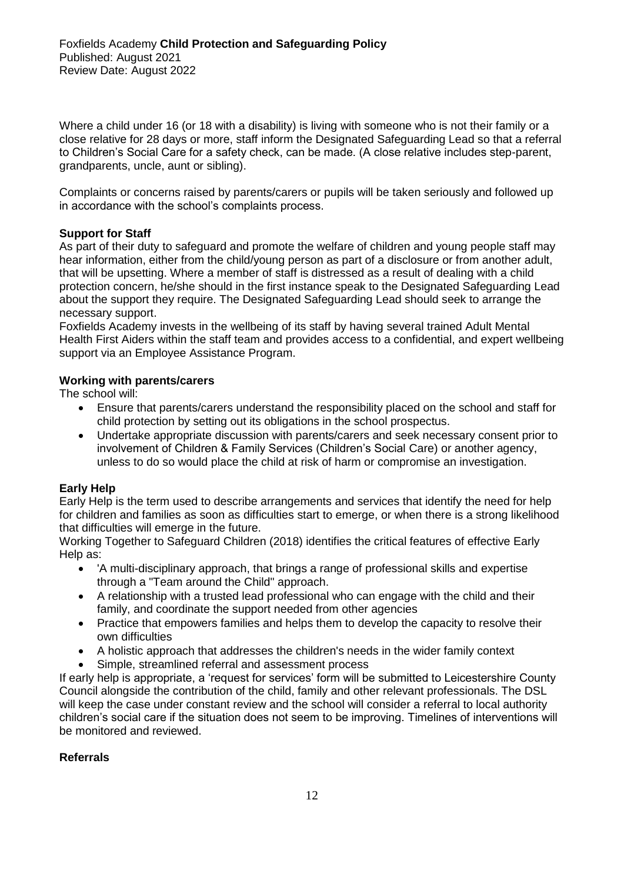Where a child under 16 (or 18 with a disability) is living with someone who is not their family or a close relative for 28 days or more, staff inform the Designated Safeguarding Lead so that a referral to Children's Social Care for a safety check, can be made. (A close relative includes step-parent, grandparents, uncle, aunt or sibling).

Complaints or concerns raised by parents/carers or pupils will be taken seriously and followed up in accordance with the school's complaints process.

## **Support for Staff**

As part of their duty to safeguard and promote the welfare of children and young people staff may hear information, either from the child/young person as part of a disclosure or from another adult, that will be upsetting. Where a member of staff is distressed as a result of dealing with a child protection concern, he/she should in the first instance speak to the Designated Safeguarding Lead about the support they require. The Designated Safeguarding Lead should seek to arrange the necessary support.

Foxfields Academy invests in the wellbeing of its staff by having several trained Adult Mental Health First Aiders within the staff team and provides access to a confidential, and expert wellbeing support via an Employee Assistance Program.

## **Working with parents/carers**

The school will:

- Ensure that parents/carers understand the responsibility placed on the school and staff for child protection by setting out its obligations in the school prospectus.
- Undertake appropriate discussion with parents/carers and seek necessary consent prior to involvement of Children & Family Services (Children's Social Care) or another agency, unless to do so would place the child at risk of harm or compromise an investigation.

## **Early Help**

Early Help is the term used to describe arrangements and services that identify the need for help for children and families as soon as difficulties start to emerge, or when there is a strong likelihood that difficulties will emerge in the future.

Working Together to Safeguard Children (2018) identifies the critical features of effective Early Help as:

- 'A multi-disciplinary approach, that brings a range of professional skills and expertise through a "Team around the Child" approach.
- A relationship with a trusted lead professional who can engage with the child and their family, and coordinate the support needed from other agencies
- Practice that empowers families and helps them to develop the capacity to resolve their own difficulties
- A holistic approach that addresses the children's needs in the wider family context
- Simple, streamlined referral and assessment process

If early help is appropriate, a 'request for services' form will be submitted to Leicestershire County Council alongside the contribution of the child, family and other relevant professionals. The DSL will keep the case under constant review and the school will consider a referral to local authority children's social care if the situation does not seem to be improving. Timelines of interventions will be monitored and reviewed.

## **Referrals**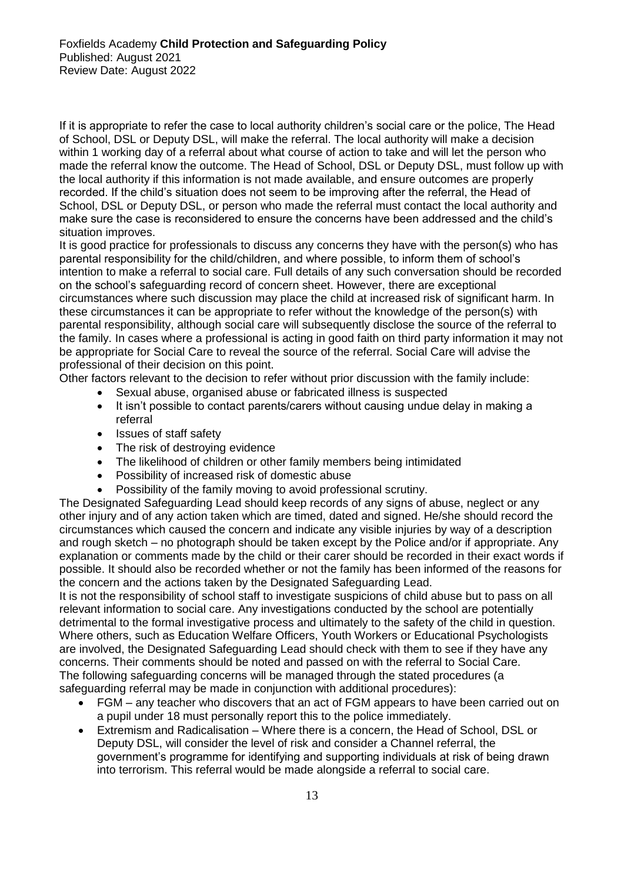If it is appropriate to refer the case to local authority children's social care or the police, The Head of School, DSL or Deputy DSL, will make the referral. The local authority will make a decision within 1 working day of a referral about what course of action to take and will let the person who made the referral know the outcome. The Head of School, DSL or Deputy DSL, must follow up with the local authority if this information is not made available, and ensure outcomes are properly recorded. If the child's situation does not seem to be improving after the referral, the Head of School, DSL or Deputy DSL, or person who made the referral must contact the local authority and make sure the case is reconsidered to ensure the concerns have been addressed and the child's situation improves.

It is good practice for professionals to discuss any concerns they have with the person(s) who has parental responsibility for the child/children, and where possible, to inform them of school's intention to make a referral to social care. Full details of any such conversation should be recorded on the school's safeguarding record of concern sheet. However, there are exceptional circumstances where such discussion may place the child at increased risk of significant harm. In these circumstances it can be appropriate to refer without the knowledge of the person(s) with parental responsibility, although social care will subsequently disclose the source of the referral to the family. In cases where a professional is acting in good faith on third party information it may not be appropriate for Social Care to reveal the source of the referral. Social Care will advise the professional of their decision on this point.

Other factors relevant to the decision to refer without prior discussion with the family include:

- Sexual abuse, organised abuse or fabricated illness is suspected
- It isn't possible to contact parents/carers without causing undue delay in making a referral
- Issues of staff safety
- The risk of destroying evidence
- The likelihood of children or other family members being intimidated
- Possibility of increased risk of domestic abuse
- Possibility of the family moving to avoid professional scrutiny.

The Designated Safeguarding Lead should keep records of any signs of abuse, neglect or any other injury and of any action taken which are timed, dated and signed. He/she should record the circumstances which caused the concern and indicate any visible injuries by way of a description and rough sketch – no photograph should be taken except by the Police and/or if appropriate. Any explanation or comments made by the child or their carer should be recorded in their exact words if possible. It should also be recorded whether or not the family has been informed of the reasons for the concern and the actions taken by the Designated Safeguarding Lead.

It is not the responsibility of school staff to investigate suspicions of child abuse but to pass on all relevant information to social care. Any investigations conducted by the school are potentially detrimental to the formal investigative process and ultimately to the safety of the child in question. Where others, such as Education Welfare Officers, Youth Workers or Educational Psychologists are involved, the Designated Safeguarding Lead should check with them to see if they have any concerns. Their comments should be noted and passed on with the referral to Social Care. The following safeguarding concerns will be managed through the stated procedures (a safeguarding referral may be made in conjunction with additional procedures):

- FGM any teacher who discovers that an act of FGM appears to have been carried out on a pupil under 18 must personally report this to the police immediately.
- Extremism and Radicalisation Where there is a concern, the Head of School, DSL or Deputy DSL, will consider the level of risk and consider a Channel referral, the government's programme for identifying and supporting individuals at risk of being drawn into terrorism. This referral would be made alongside a referral to social care.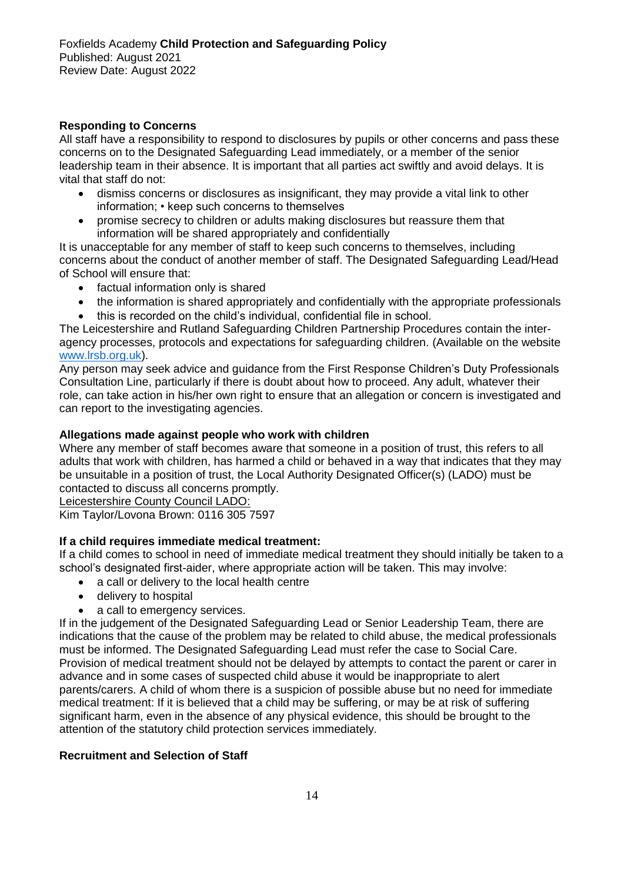## **Responding to Concerns**

All staff have a responsibility to respond to disclosures by pupils or other concerns and pass these concerns on to the Designated Safeguarding Lead immediately, or a member of the senior leadership team in their absence. It is important that all parties act swiftly and avoid delays. It is vital that staff do not:

- dismiss concerns or disclosures as insignificant, they may provide a vital link to other information; • keep such concerns to themselves
- promise secrecy to children or adults making disclosures but reassure them that information will be shared appropriately and confidentially

It is unacceptable for any member of staff to keep such concerns to themselves, including concerns about the conduct of another member of staff. The Designated Safeguarding Lead/Head of School will ensure that:

- factual information only is shared
- the information is shared appropriately and confidentially with the appropriate professionals
- this is recorded on the child's individual, confidential file in school.

The Leicestershire and Rutland Safeguarding Children Partnership Procedures contain the interagency processes, protocols and expectations for safeguarding children. (Available on the website [www.lrsb.org.uk\)](http://www.lrsb.org.uk/).

Any person may seek advice and guidance from the First Response Children's Duty Professionals Consultation Line, particularly if there is doubt about how to proceed. Any adult, whatever their role, can take action in his/her own right to ensure that an allegation or concern is investigated and can report to the investigating agencies.

## **Allegations made against people who work with children**

Where any member of staff becomes aware that someone in a position of trust, this refers to all adults that work with children, has harmed a child or behaved in a way that indicates that they may be unsuitable in a position of trust, the Local Authority Designated Officer(s) (LADO) must be contacted to discuss all concerns promptly.

Leicestershire County Council LADO:

Kim Taylor/Lovona Brown: 0116 305 7597

## **If a child requires immediate medical treatment:**

If a child comes to school in need of immediate medical treatment they should initially be taken to a school's designated first-aider, where appropriate action will be taken. This may involve:

- a call or delivery to the local health centre
- delivery to hospital
- a call to emergency services.

If in the judgement of the Designated Safeguarding Lead or Senior Leadership Team, there are indications that the cause of the problem may be related to child abuse, the medical professionals must be informed. The Designated Safeguarding Lead must refer the case to Social Care. Provision of medical treatment should not be delayed by attempts to contact the parent or carer in advance and in some cases of suspected child abuse it would be inappropriate to alert parents/carers. A child of whom there is a suspicion of possible abuse but no need for immediate medical treatment: If it is believed that a child may be suffering, or may be at risk of suffering significant harm, even in the absence of any physical evidence, this should be brought to the attention of the statutory child protection services immediately.

## **Recruitment and Selection of Staff**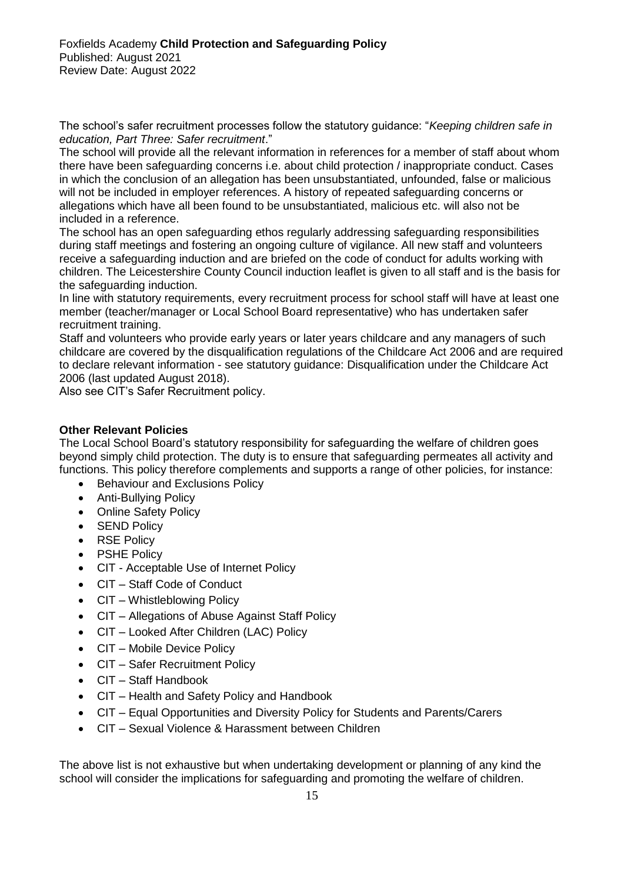The school's safer recruitment processes follow the statutory guidance: "*Keeping children safe in education, Part Three: Safer recruitment*."

The school will provide all the relevant information in references for a member of staff about whom there have been safeguarding concerns i.e. about child protection / inappropriate conduct. Cases in which the conclusion of an allegation has been unsubstantiated, unfounded, false or malicious will not be included in employer references. A history of repeated safeguarding concerns or allegations which have all been found to be unsubstantiated, malicious etc. will also not be included in a reference.

The school has an open safeguarding ethos regularly addressing safeguarding responsibilities during staff meetings and fostering an ongoing culture of vigilance. All new staff and volunteers receive a safeguarding induction and are briefed on the code of conduct for adults working with children. The Leicestershire County Council induction leaflet is given to all staff and is the basis for the safeguarding induction.

In line with statutory requirements, every recruitment process for school staff will have at least one member (teacher/manager or Local School Board representative) who has undertaken safer recruitment training.

Staff and volunteers who provide early years or later years childcare and any managers of such childcare are covered by the disqualification regulations of the Childcare Act 2006 and are required to declare relevant information - see statutory guidance: Disqualification under the Childcare Act 2006 (last updated August 2018).

Also see CIT's Safer Recruitment policy.

## **Other Relevant Policies**

The Local School Board's statutory responsibility for safeguarding the welfare of children goes beyond simply child protection. The duty is to ensure that safeguarding permeates all activity and functions. This policy therefore complements and supports a range of other policies, for instance:

- Behaviour and Exclusions Policy
- Anti-Bullying Policy
- Online Safety Policy
- SEND Policy
- RSE Policy
- PSHE Policy
- CIT Acceptable Use of Internet Policy
- CIT Staff Code of Conduct
- CIT Whistleblowing Policy
- CIT Allegations of Abuse Against Staff Policy
- CIT Looked After Children (LAC) Policy
- CIT Mobile Device Policy
- CIT Safer Recruitment Policy
- CIT Staff Handbook
- CIT Health and Safety Policy and Handbook
- CIT Equal Opportunities and Diversity Policy for Students and Parents/Carers
- CIT Sexual Violence & Harassment between Children

The above list is not exhaustive but when undertaking development or planning of any kind the school will consider the implications for safeguarding and promoting the welfare of children.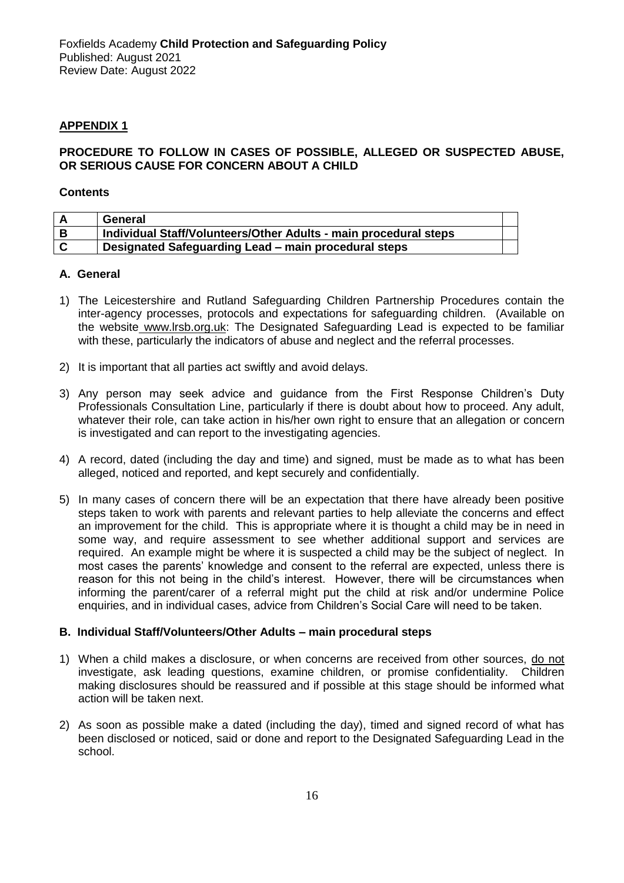## **APPENDIX 1**

#### **PROCEDURE TO FOLLOW IN CASES OF POSSIBLE, ALLEGED OR SUSPECTED ABUSE, OR SERIOUS CAUSE FOR CONCERN ABOUT A CHILD**

#### **Contents**

| General                                                          |  |
|------------------------------------------------------------------|--|
| Individual Staff/Volunteers/Other Adults - main procedural steps |  |
| Designated Safeguarding Lead – main procedural steps             |  |

#### **A. General**

- 1) The Leicestershire and Rutland Safeguarding Children Partnership Procedures contain the inter-agency processes, protocols and expectations for safeguarding children. (Available on the website www.lrsb.org.uk: The Designated Safeguarding Lead is expected to be familiar with these, particularly the indicators of abuse and neglect and the referral processes.
- 2) It is important that all parties act swiftly and avoid delays.
- 3) Any person may seek advice and guidance from the First Response Children's Duty Professionals Consultation Line, particularly if there is doubt about how to proceed. Any adult, whatever their role, can take action in his/her own right to ensure that an allegation or concern is investigated and can report to the investigating agencies.
- 4) A record, dated (including the day and time) and signed, must be made as to what has been alleged, noticed and reported, and kept securely and confidentially.
- 5) In many cases of concern there will be an expectation that there have already been positive steps taken to work with parents and relevant parties to help alleviate the concerns and effect an improvement for the child. This is appropriate where it is thought a child may be in need in some way, and require assessment to see whether additional support and services are required. An example might be where it is suspected a child may be the subject of neglect. In most cases the parents' knowledge and consent to the referral are expected, unless there is reason for this not being in the child's interest. However, there will be circumstances when informing the parent/carer of a referral might put the child at risk and/or undermine Police enquiries, and in individual cases, advice from Children's Social Care will need to be taken.

#### **B. Individual Staff/Volunteers/Other Adults – main procedural steps**

- 1) When a child makes a disclosure, or when concerns are received from other sources, do not investigate, ask leading questions, examine children, or promise confidentiality. Children making disclosures should be reassured and if possible at this stage should be informed what action will be taken next.
- 2) As soon as possible make a dated (including the day), timed and signed record of what has been disclosed or noticed, said or done and report to the Designated Safeguarding Lead in the school.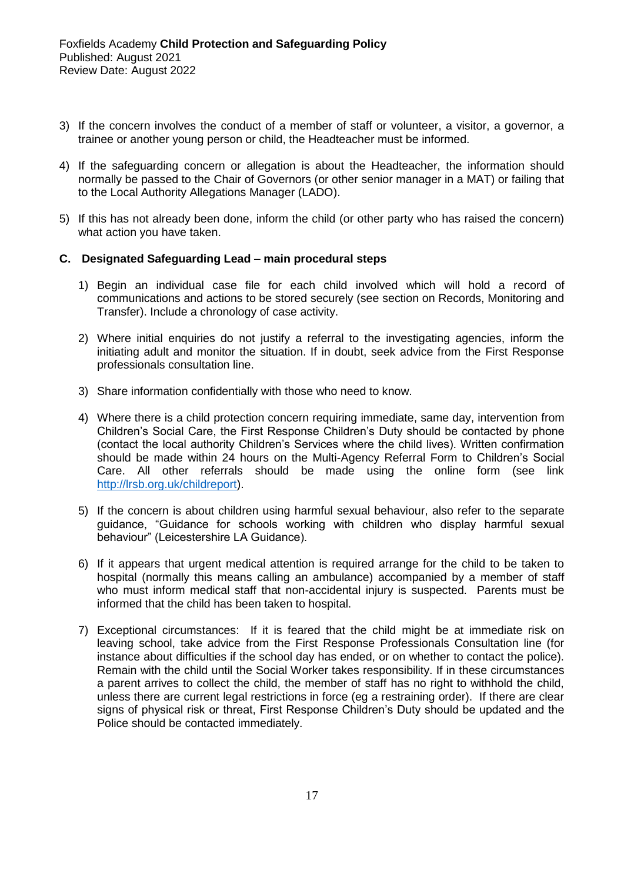- 3) If the concern involves the conduct of a member of staff or volunteer, a visitor, a governor, a trainee or another young person or child, the Headteacher must be informed.
- 4) If the safeguarding concern or allegation is about the Headteacher, the information should normally be passed to the Chair of Governors (or other senior manager in a MAT) or failing that to the Local Authority Allegations Manager (LADO).
- 5) If this has not already been done, inform the child (or other party who has raised the concern) what action you have taken.

#### **C. Designated Safeguarding Lead – main procedural steps**

- 1) Begin an individual case file for each child involved which will hold a record of communications and actions to be stored securely (see section on Records, Monitoring and Transfer). Include a chronology of case activity.
- 2) Where initial enquiries do not justify a referral to the investigating agencies, inform the initiating adult and monitor the situation. If in doubt, seek advice from the First Response professionals consultation line.
- 3) Share information confidentially with those who need to know.
- 4) Where there is a child protection concern requiring immediate, same day, intervention from Children's Social Care, the First Response Children's Duty should be contacted by phone (contact the local authority Children's Services where the child lives). Written confirmation should be made within 24 hours on the Multi-Agency Referral Form to Children's Social Care. All other referrals should be made using the online form (see link [http://lrsb.org.uk/childreport\)](http://lrsb.org.uk/childreport).
- 5) If the concern is about children using harmful sexual behaviour, also refer to the separate guidance, "Guidance for schools working with children who display harmful sexual behaviour" (Leicestershire LA Guidance).
- 6) If it appears that urgent medical attention is required arrange for the child to be taken to hospital (normally this means calling an ambulance) accompanied by a member of staff who must inform medical staff that non-accidental injury is suspected. Parents must be informed that the child has been taken to hospital.
- 7) Exceptional circumstances: If it is feared that the child might be at immediate risk on leaving school, take advice from the First Response Professionals Consultation line (for instance about difficulties if the school day has ended, or on whether to contact the police). Remain with the child until the Social Worker takes responsibility. If in these circumstances a parent arrives to collect the child, the member of staff has no right to withhold the child, unless there are current legal restrictions in force (eg a restraining order). If there are clear signs of physical risk or threat, First Response Children's Duty should be updated and the Police should be contacted immediately.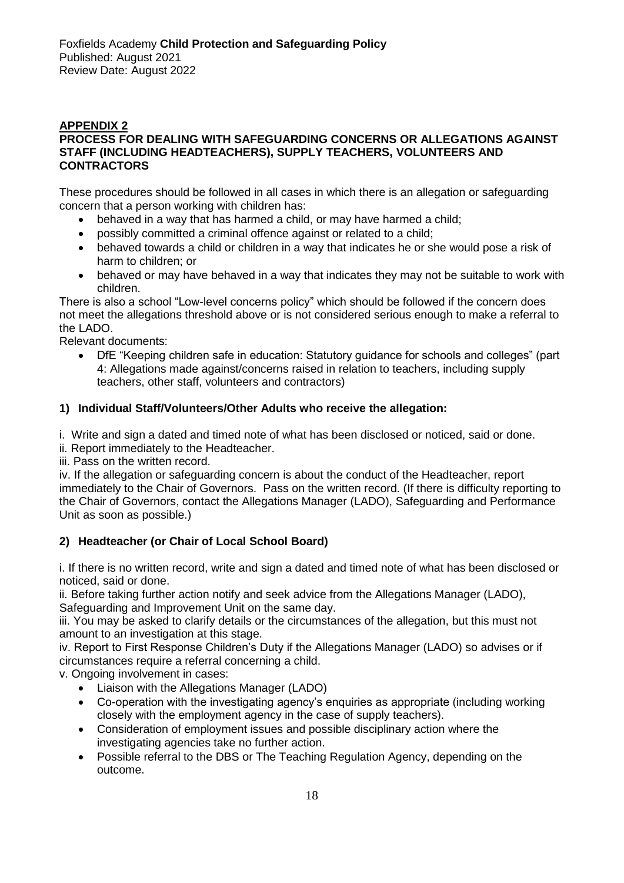## **APPENDIX 2 PROCESS FOR DEALING WITH SAFEGUARDING CONCERNS OR ALLEGATIONS AGAINST STAFF (INCLUDING HEADTEACHERS), SUPPLY TEACHERS, VOLUNTEERS AND CONTRACTORS**

These procedures should be followed in all cases in which there is an allegation or safeguarding concern that a person working with children has:

- behaved in a way that has harmed a child, or may have harmed a child;
- possibly committed a criminal offence against or related to a child;
- behaved towards a child or children in a way that indicates he or she would pose a risk of harm to children; or
- behaved or may have behaved in a way that indicates they may not be suitable to work with children.

There is also a school "Low-level concerns policy" which should be followed if the concern does not meet the allegations threshold above or is not considered serious enough to make a referral to the LADO.

Relevant documents:

• DfE "Keeping children safe in education: Statutory guidance for schools and colleges" (part 4: Allegations made against/concerns raised in relation to teachers, including supply teachers, other staff, volunteers and contractors)

## **1) Individual Staff/Volunteers/Other Adults who receive the allegation:**

i. Write and sign a dated and timed note of what has been disclosed or noticed, said or done.

ii. Report immediately to the Headteacher.

iii. Pass on the written record.

iv. If the allegation or safeguarding concern is about the conduct of the Headteacher, report immediately to the Chair of Governors. Pass on the written record. (If there is difficulty reporting to the Chair of Governors, contact the Allegations Manager (LADO), Safeguarding and Performance Unit as soon as possible.)

## **2) Headteacher (or Chair of Local School Board)**

i. If there is no written record, write and sign a dated and timed note of what has been disclosed or noticed, said or done.

ii. Before taking further action notify and seek advice from the Allegations Manager (LADO), Safeguarding and Improvement Unit on the same day.

iii. You may be asked to clarify details or the circumstances of the allegation, but this must not amount to an investigation at this stage.

iv. Report to First Response Children's Duty if the Allegations Manager (LADO) so advises or if circumstances require a referral concerning a child.

v. Ongoing involvement in cases:

- Liaison with the Allegations Manager (LADO)
- Co-operation with the investigating agency's enquiries as appropriate (including working closely with the employment agency in the case of supply teachers).
- Consideration of employment issues and possible disciplinary action where the investigating agencies take no further action.
- Possible referral to the DBS or The Teaching Regulation Agency, depending on the outcome.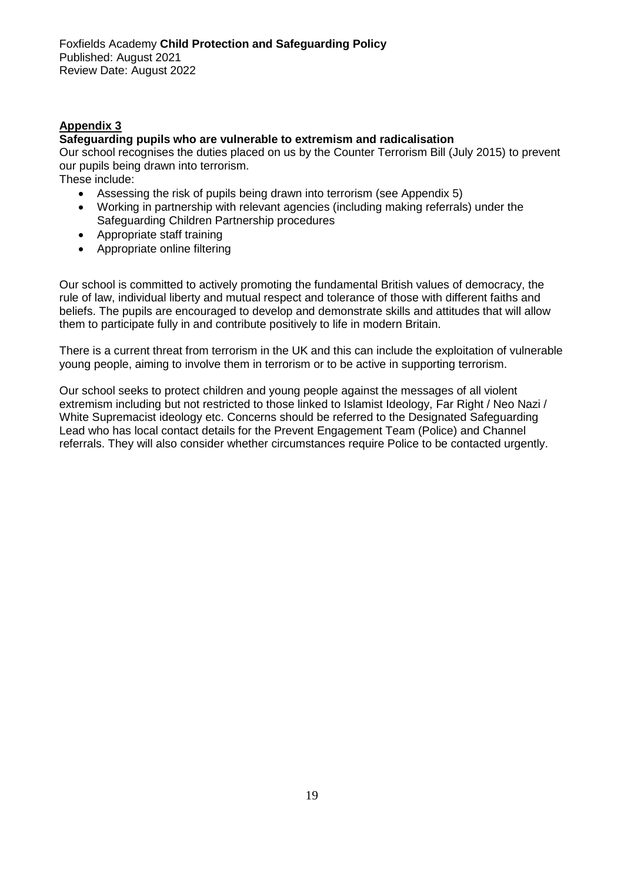## **Appendix 3**

#### **Safeguarding pupils who are vulnerable to extremism and radicalisation**

Our school recognises the duties placed on us by the Counter Terrorism Bill (July 2015) to prevent our pupils being drawn into terrorism.

These include:

- Assessing the risk of pupils being drawn into terrorism (see Appendix 5)
- Working in partnership with relevant agencies (including making referrals) under the Safeguarding Children Partnership procedures
- Appropriate staff training
- Appropriate online filtering

Our school is committed to actively promoting the fundamental British values of democracy, the rule of law, individual liberty and mutual respect and tolerance of those with different faiths and beliefs. The pupils are encouraged to develop and demonstrate skills and attitudes that will allow them to participate fully in and contribute positively to life in modern Britain.

There is a current threat from terrorism in the UK and this can include the exploitation of vulnerable young people, aiming to involve them in terrorism or to be active in supporting terrorism.

Our school seeks to protect children and young people against the messages of all violent extremism including but not restricted to those linked to Islamist Ideology, Far Right / Neo Nazi / White Supremacist ideology etc. Concerns should be referred to the Designated Safeguarding Lead who has local contact details for the Prevent Engagement Team (Police) and Channel referrals. They will also consider whether circumstances require Police to be contacted urgently.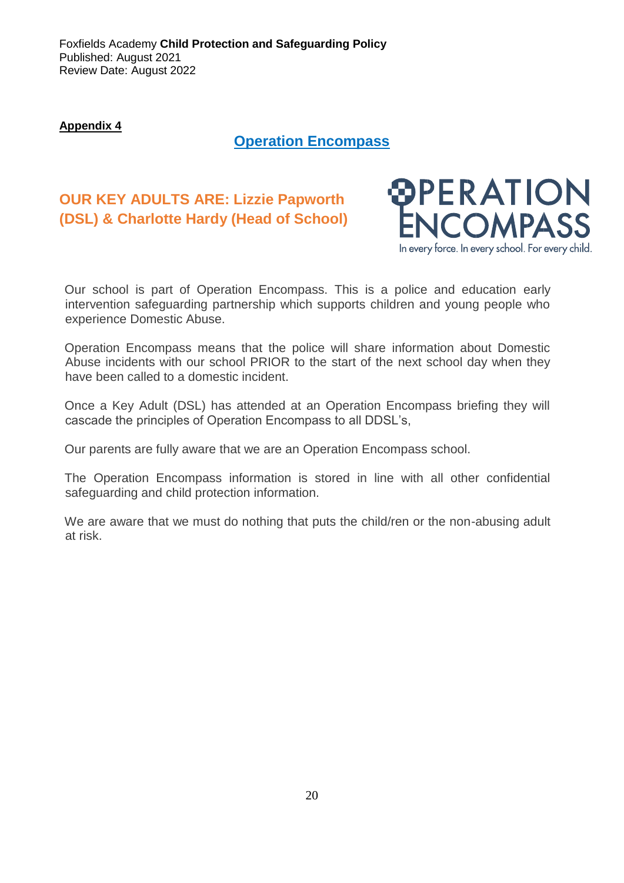Foxfields Academy **Child Protection and Safeguarding Policy**  Published: August 2021 Review Date: August 2022

**Appendix 4**

## **Operation Encompass**

# **OUR KEY ADULTS ARE: Lizzie Papworth (DSL) & Charlotte Hardy (Head of School)**



Our school is part of Operation Encompass. This is a police and education early intervention safeguarding partnership which supports children and young people who experience Domestic Abuse.

Operation Encompass means that the police will share information about Domestic Abuse incidents with our school PRIOR to the start of the next school day when they have been called to a domestic incident.

Once a Key Adult (DSL) has attended at an Operation Encompass briefing they will cascade the principles of Operation Encompass to all DDSL's,

Our parents are fully aware that we are an Operation Encompass school.

The Operation Encompass information is stored in line with all other confidential safeguarding and child protection information.

We are aware that we must do nothing that puts the child/ren or the non-abusing adult at risk.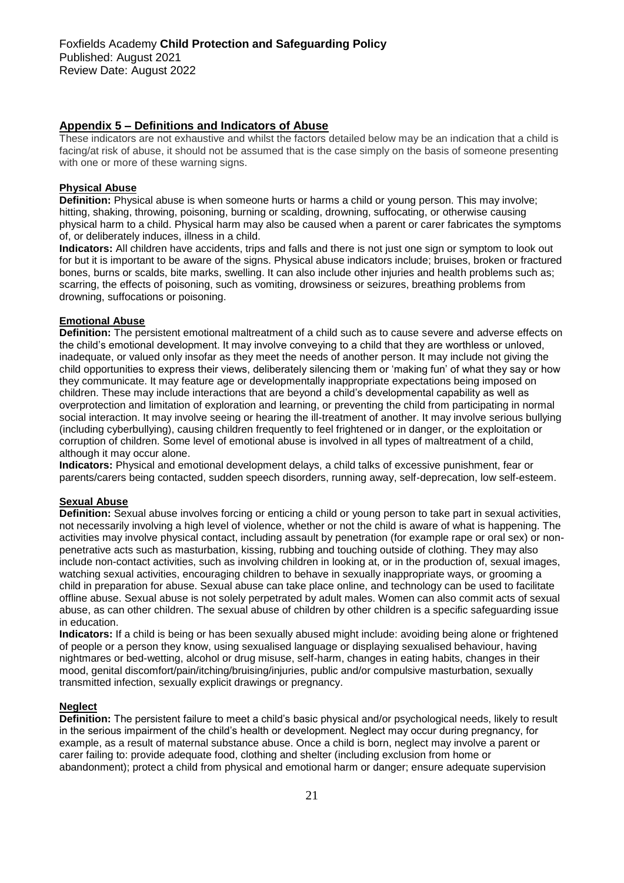#### **Appendix 5 – Definitions and Indicators of Abuse**

These indicators are not exhaustive and whilst the factors detailed below may be an indication that a child is facing/at risk of abuse, it should not be assumed that is the case simply on the basis of someone presenting with one or more of these warning signs.

#### **Physical Abuse**

**Definition:** Physical abuse is when someone hurts or harms a child or young person. This may involve; hitting, shaking, throwing, poisoning, burning or scalding, drowning, suffocating, or otherwise causing physical harm to a child. Physical harm may also be caused when a parent or carer fabricates the symptoms of, or deliberately induces, illness in a child.

**Indicators:** All children have accidents, trips and falls and there is not just one sign or symptom to look out for but it is important to be aware of the signs. Physical abuse indicators include; bruises, broken or fractured bones, burns or scalds, bite marks, swelling. It can also include other injuries and health problems such as; scarring, the effects of poisoning, such as vomiting, drowsiness or seizures, breathing problems from drowning, suffocations or poisoning.

#### **Emotional Abuse**

**Definition:** The persistent emotional maltreatment of a child such as to cause severe and adverse effects on the child's emotional development. It may involve conveying to a child that they are worthless or unloved, inadequate, or valued only insofar as they meet the needs of another person. It may include not giving the child opportunities to express their views, deliberately silencing them or 'making fun' of what they say or how they communicate. It may feature age or developmentally inappropriate expectations being imposed on children. These may include interactions that are beyond a child's developmental capability as well as overprotection and limitation of exploration and learning, or preventing the child from participating in normal social interaction. It may involve seeing or hearing the ill-treatment of another. It may involve serious bullying (including cyberbullying), causing children frequently to feel frightened or in danger, or the exploitation or corruption of children. Some level of emotional abuse is involved in all types of maltreatment of a child, although it may occur alone.

**Indicators:** Physical and emotional development delays, a child talks of excessive punishment, fear or parents/carers being contacted, sudden speech disorders, running away, self-deprecation, low self-esteem.

#### **Sexual Abuse**

**Definition:** Sexual abuse involves forcing or enticing a child or young person to take part in sexual activities, not necessarily involving a high level of violence, whether or not the child is aware of what is happening. The activities may involve physical contact, including assault by penetration (for example rape or oral sex) or nonpenetrative acts such as masturbation, kissing, rubbing and touching outside of clothing. They may also include non-contact activities, such as involving children in looking at, or in the production of, sexual images, watching sexual activities, encouraging children to behave in sexually inappropriate ways, or grooming a child in preparation for abuse. Sexual abuse can take place online, and technology can be used to facilitate offline abuse. Sexual abuse is not solely perpetrated by adult males. Women can also commit acts of sexual abuse, as can other children. The sexual abuse of children by other children is a specific safeguarding issue in education.

**Indicators:** If a child is being or has been sexually abused might include: avoiding being alone or frightened of people or a person they know, using sexualised language or displaying sexualised behaviour, having nightmares or bed-wetting, alcohol or drug misuse, self-harm, changes in eating habits, changes in their mood, genital discomfort/pain/itching/bruising/injuries, public and/or compulsive masturbation, sexually transmitted infection, sexually explicit drawings or pregnancy.

#### **Neglect**

**Definition:** The persistent failure to meet a child's basic physical and/or psychological needs, likely to result in the serious impairment of the child's health or development. Neglect may occur during pregnancy, for example, as a result of maternal substance abuse. Once a child is born, neglect may involve a parent or carer failing to: provide adequate food, clothing and shelter (including exclusion from home or abandonment); protect a child from physical and emotional harm or danger; ensure adequate supervision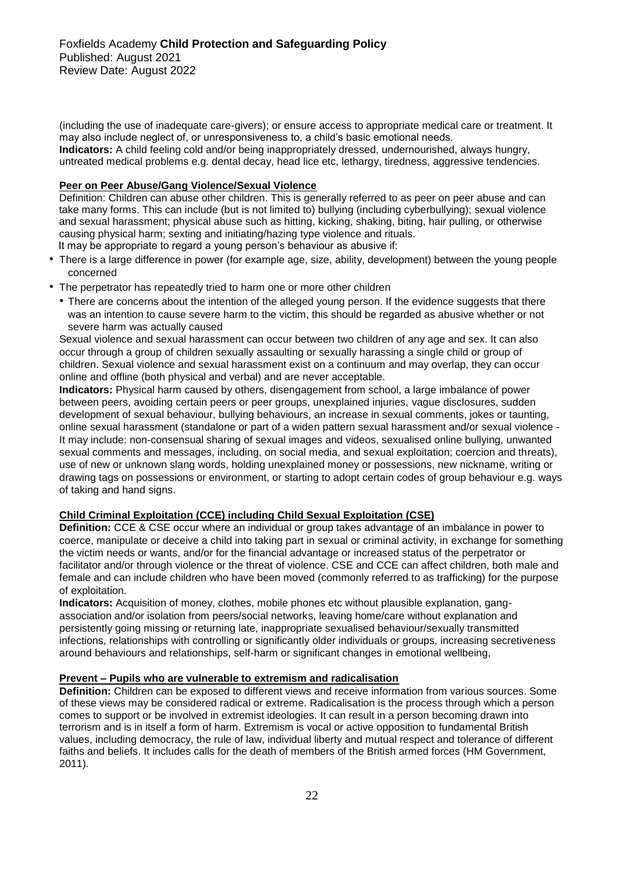(including the use of inadequate care-givers); or ensure access to appropriate medical care or treatment. It may also include neglect of, or unresponsiveness to, a child's basic emotional needs.

**Indicators:** A child feeling cold and/or being inappropriately dressed, undernourished, always hungry, untreated medical problems e.g. dental decay, head lice etc, lethargy, tiredness, aggressive tendencies.

#### **Peer on Peer Abuse/Gang Violence/Sexual Violence**

Definition: Children can abuse other children. This is generally referred to as peer on peer abuse and can take many forms. This can include (but is not limited to) bullying (including cyberbullying); sexual violence and sexual harassment; physical abuse such as hitting, kicking, shaking, biting, hair pulling, or otherwise causing physical harm; sexting and initiating/hazing type violence and rituals. It may be appropriate to regard a young person's behaviour as abusive if:

• There is a large difference in power (for example age, size, ability, development) between the young people

- concerned
- The perpetrator has repeatedly tried to harm one or more other children
	- There are concerns about the intention of the alleged young person. If the evidence suggests that there was an intention to cause severe harm to the victim, this should be regarded as abusive whether or not severe harm was actually caused

Sexual violence and sexual harassment can occur between two children of any age and sex. It can also occur through a group of children sexually assaulting or sexually harassing a single child or group of children. Sexual violence and sexual harassment exist on a continuum and may overlap, they can occur online and offline (both physical and verbal) and are never acceptable.

**Indicators:** Physical harm caused by others, disengagement from school, a large imbalance of power between peers, avoiding certain peers or peer groups, unexplained injuries, vague disclosures, sudden development of sexual behaviour, bullying behaviours, an increase in sexual comments, jokes or taunting, online sexual harassment (standalone or part of a widen pattern sexual harassment and/or sexual violence - It may include: non-consensual sharing of sexual images and videos, sexualised online bullying, unwanted sexual comments and messages, including, on social media, and sexual exploitation; coercion and threats), use of new or unknown slang words, holding unexplained money or possessions, new nickname, writing or drawing tags on possessions or environment, or starting to adopt certain codes of group behaviour e.g. ways of taking and hand signs.

#### **Child Criminal Exploitation (CCE) including Child Sexual Exploitation (CSE)**

**Definition:** CCE & CSE occur where an individual or group takes advantage of an imbalance in power to coerce, manipulate or deceive a child into taking part in sexual or criminal activity, in exchange for something the victim needs or wants, and/or for the financial advantage or increased status of the perpetrator or facilitator and/or through violence or the threat of violence. CSE and CCE can affect children, both male and female and can include children who have been moved (commonly referred to as trafficking) for the purpose of exploitation.

**Indicators:** Acquisition of money, clothes, mobile phones etc without plausible explanation, gangassociation and/or isolation from peers/social networks, leaving home/care without explanation and persistently going missing or returning late, inappropriate sexualised behaviour/sexually transmitted infections, relationships with controlling or significantly older individuals or groups, increasing secretiveness around behaviours and relationships, self-harm or significant changes in emotional wellbeing,

#### **Prevent – Pupils who are vulnerable to extremism and radicalisation**

**Definition:** Children can be exposed to different views and receive information from various sources. Some of these views may be considered radical or extreme. Radicalisation is the process through which a person comes to support or be involved in extremist ideologies. It can result in a person becoming drawn into terrorism and is in itself a form of harm. Extremism is vocal or active opposition to fundamental British values, including democracy, the rule of law, individual liberty and mutual respect and tolerance of different faiths and beliefs. It includes calls for the death of members of the British armed forces (HM Government, 2011).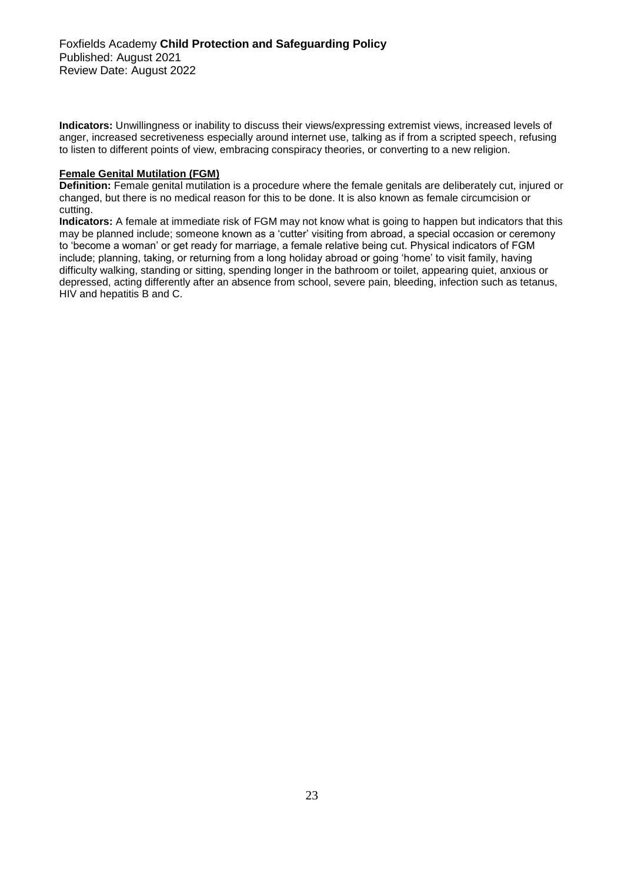**Indicators:** Unwillingness or inability to discuss their views/expressing extremist views, increased levels of anger, increased secretiveness especially around internet use, talking as if from a scripted speech, refusing to listen to different points of view, embracing conspiracy theories, or converting to a new religion.

#### **Female Genital Mutilation (FGM)**

**Definition:** Female genital mutilation is a procedure where the female genitals are deliberately cut, injured or changed, but there is no medical reason for this to be done. It is also known as female circumcision or cutting.

**Indicators:** A female at immediate risk of FGM may not know what is going to happen but indicators that this may be planned include; someone known as a 'cutter' visiting from abroad, a special occasion or ceremony to 'become a woman' or get ready for marriage, a female relative being cut. Physical indicators of FGM include; planning, taking, or returning from a long holiday abroad or going 'home' to visit family, having difficulty walking, standing or sitting, spending longer in the bathroom or toilet, appearing quiet, anxious or depressed, acting differently after an absence from school, severe pain, bleeding, infection such as tetanus, HIV and hepatitis B and C.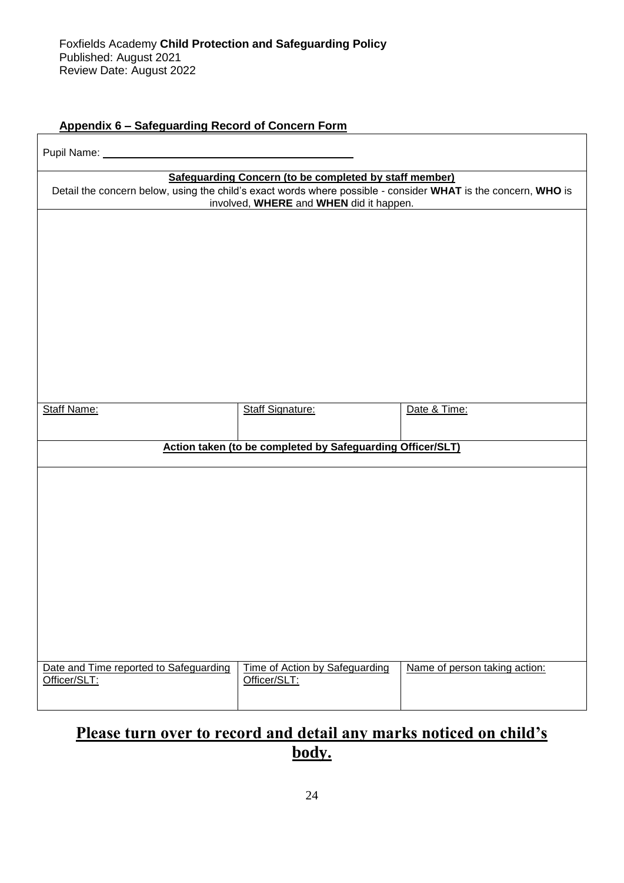# **Appendix 6 – Safeguarding Record of Concern Form**

| Pupil Name: _                                                                                                                                                                                                      |                                                |                               |  |  |  |
|--------------------------------------------------------------------------------------------------------------------------------------------------------------------------------------------------------------------|------------------------------------------------|-------------------------------|--|--|--|
| Safeguarding Concern (to be completed by staff member)<br>Detail the concern below, using the child's exact words where possible - consider WHAT is the concern, WHO is<br>involved, WHERE and WHEN did it happen. |                                                |                               |  |  |  |
|                                                                                                                                                                                                                    |                                                |                               |  |  |  |
|                                                                                                                                                                                                                    |                                                |                               |  |  |  |
|                                                                                                                                                                                                                    |                                                |                               |  |  |  |
|                                                                                                                                                                                                                    |                                                |                               |  |  |  |
|                                                                                                                                                                                                                    |                                                |                               |  |  |  |
| <b>Staff Name:</b>                                                                                                                                                                                                 | <b>Staff Signature:</b>                        | Date & Time:                  |  |  |  |
|                                                                                                                                                                                                                    |                                                |                               |  |  |  |
| Action taken (to be completed by Safeguarding Officer/SLT)                                                                                                                                                         |                                                |                               |  |  |  |
|                                                                                                                                                                                                                    |                                                |                               |  |  |  |
|                                                                                                                                                                                                                    |                                                |                               |  |  |  |
|                                                                                                                                                                                                                    |                                                |                               |  |  |  |
|                                                                                                                                                                                                                    |                                                |                               |  |  |  |
|                                                                                                                                                                                                                    |                                                |                               |  |  |  |
|                                                                                                                                                                                                                    |                                                |                               |  |  |  |
|                                                                                                                                                                                                                    |                                                |                               |  |  |  |
| Date and Time reported to Safeguarding<br>Officer/SLT:                                                                                                                                                             | Time of Action by Safeguarding<br>Officer/SLT: | Name of person taking action: |  |  |  |

# **Please turn over to record and detail any marks noticed on child's body.**